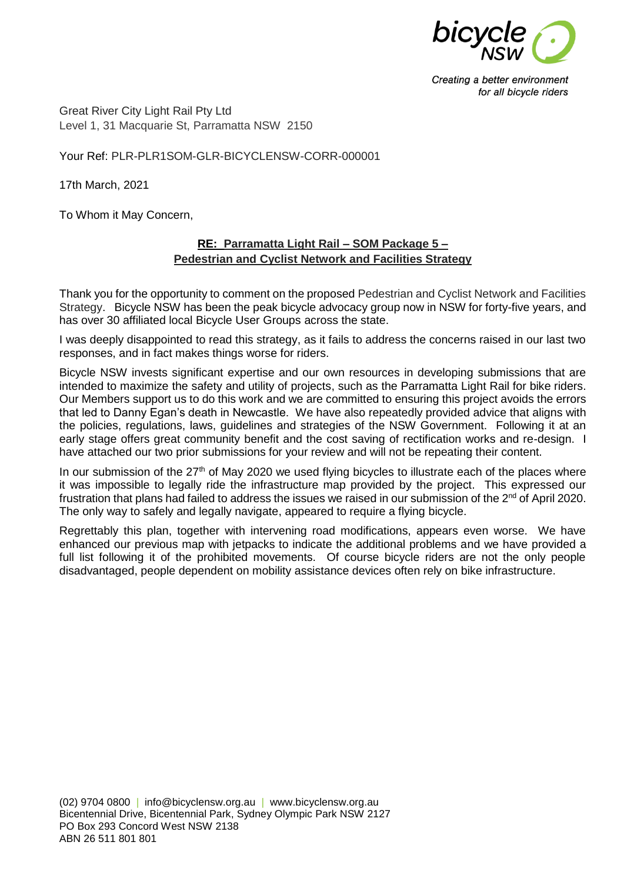

Creating a better environment for all bicycle riders

Great River City Light Rail Pty Ltd Level 1, 31 Macquarie St, Parramatta NSW 2150

Your Ref: PLR-PLR1SOM-GLR-BICYCLENSW-CORR-000001

17th March, 2021

To Whom it May Concern,

## **RE: Parramatta Light Rail – SOM Package 5 – Pedestrian and Cyclist Network and Facilities Strategy**

Thank you for the opportunity to comment on the proposed Pedestrian and Cyclist Network and Facilities Strategy. Bicycle NSW has been the peak bicycle advocacy group now in NSW for forty-five years, and has over 30 affiliated local Bicycle User Groups across the state.

I was deeply disappointed to read this strategy, as it fails to address the concerns raised in our last two responses, and in fact makes things worse for riders.

Bicycle NSW invests significant expertise and our own resources in developing submissions that are intended to maximize the safety and utility of projects, such as the Parramatta Light Rail for bike riders. Our Members support us to do this work and we are committed to ensuring this project avoids the errors that led to Danny Egan's death in Newcastle. We have also repeatedly provided advice that aligns with the policies, regulations, laws, guidelines and strategies of the NSW Government. Following it at an early stage offers great community benefit and the cost saving of rectification works and re-design. I have attached our two prior submissions for your review and will not be repeating their content.

In our submission of the 27<sup>th</sup> of May 2020 we used flying bicycles to illustrate each of the places where it was impossible to legally ride the infrastructure map provided by the project. This expressed our frustration that plans had failed to address the issues we raised in our submission of the 2<sup>nd</sup> of April 2020. The only way to safely and legally navigate, appeared to require a flying bicycle.

Regrettably this plan, together with intervening road modifications, appears even worse. We have enhanced our previous map with jetpacks to indicate the additional problems and we have provided a full list following it of the prohibited movements. Of course bicycle riders are not the only people disadvantaged, people dependent on mobility assistance devices often rely on bike infrastructure.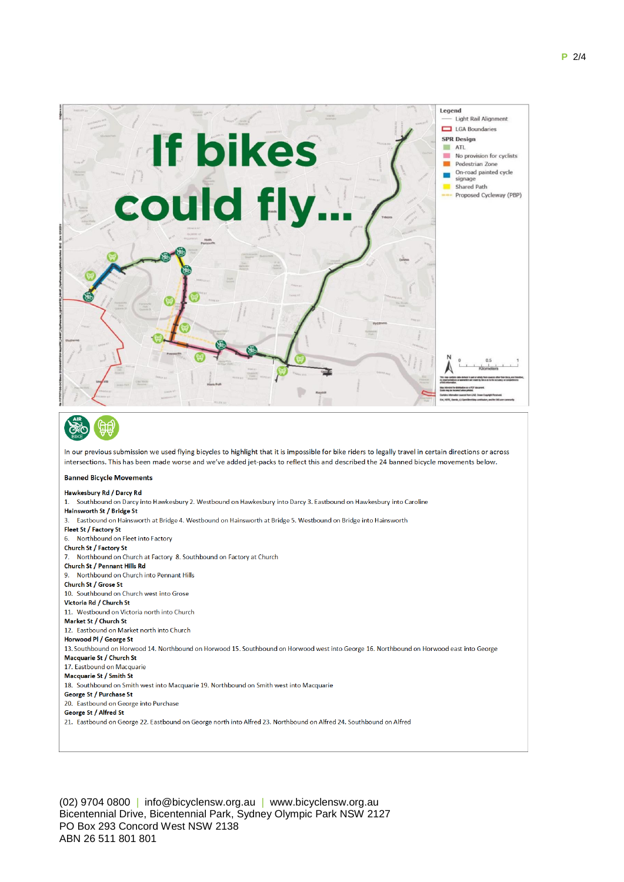

Church St / Factory St 7. Northbound on Church at Factory 8. Southbound on Factory at Church Church St / Pennant Hills Rd 9. Northbound on Church into Pennant Hills Church St / Grose St 10. Southbound on Church west into Grose Victoria Rd / Church St 11. Westbound on Victoria north into Church Market St / Church St 12. Eastbound on Market north into Church Horwood PL / George St 13. Southbound on Horwood 14. Northbound on Horwood 15. Southbound on Horwood west into George 16. Northbound on Horwood east into George Macquarie St / Church St 17. Eastbound on Macquarie Macquarie St / Smith St 18. Southbound on Smith west into Macquarie 19. Northbound on Smith west into Macquarie George St / Purchase St 20. Eastbound on George into Purchase George St / Alfred St 21. Eastbound on George 22. Eastbound on George north into Alfred 23. Northbound on Alfred 24. Southbound on Alfred

(02) 9704 0800 | info@bicyclensw.org.au | www.bicyclensw.org.au Bicentennial Drive, Bicentennial Park, Sydney Olympic Park NSW 2127 PO Box 293 Concord West NSW 2138 ABN 26 511 801 801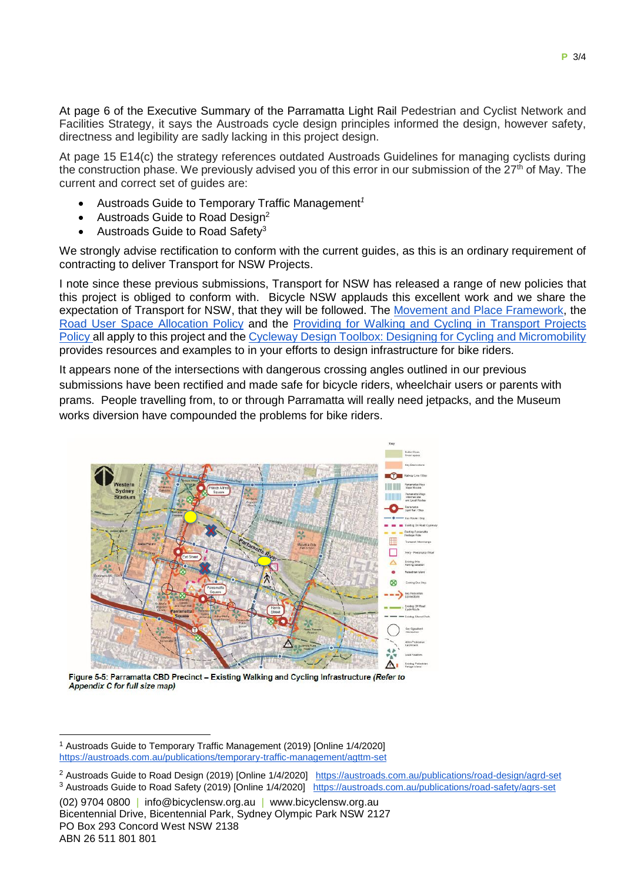At page 6 of the Executive Summary of the Parramatta Light Rail Pedestrian and Cyclist Network and Facilities Strategy, it says the Austroads cycle design principles informed the design, however safety, directness and legibility are sadly lacking in this project design.

At page 15 E14(c) the strategy references outdated Austroads Guidelines for managing cyclists during the construction phase. We previously advised you of this error in our submission of the  $27<sup>th</sup>$  of May. The current and correct set of guides are:

- Austroads Guide to Temporary Traffic Management*<sup>1</sup>*
- Austroads Guide to Road Design<sup>2</sup>
- Austroads Guide to Road Safety<sup>3</sup>

We strongly advise rectification to conform with the current quides, as this is an ordinary requirement of contracting to deliver Transport for NSW Projects.

I note since these previous submissions, Transport for NSW has released a range of new policies that this project is obliged to conform with. Bicycle NSW applauds this excellent work and we share the expectation of Transport for NSW, that they will be followed. The [Movement and Place Framework,](http://www.transport.nsw.gov.au/industry/nsw-movement-and-place-framework) the [Road User Space Allocation Policy](http://www.transport.nsw.gov.au/system/files/media/documents/2021/road-user-space-allocation-policy.pdf) and the [Providing for Walking and Cycling in Transport Projects](http://www.transport.nsw.gov.au/system/files/media/documents/2021/providing-for-walking-and-cycling-in-transport-projects-policy.pdf)  [Policy](http://www.transport.nsw.gov.au/system/files/media/documents/2021/providing-for-walking-and-cycling-in-transport-projects-policy.pdf) all apply to this project and the [Cycleway Design Toolbox: Designing for Cycling and Micromobility](http://www.transport.nsw.gov.au/system/files/media/documents/2021/Cycleway-Design-Toolbox-Web.pdf) provides resources and examples to in your efforts to design infrastructure for bike riders.

It appears none of the intersections with dangerous crossing angles outlined in our previous submissions have been rectified and made safe for bicycle riders, wheelchair users or parents with prams. People travelling from, to or through Parramatta will really need jetpacks, and the Museum works diversion have compounded the problems for bike riders.



Figure 5-5: Parramatta CBD Precinct - Existing Walking and Cycling Infrastructure (Refer to Appendix C for full size map)

1

<sup>1</sup> Austroads Guide to Temporary Traffic Management (2019) [Online 1/4/2020] <https://austroads.com.au/publications/temporary-traffic-management/agttm-set>

<sup>2</sup> Austroads Guide to Road Design (2019) [Online 1/4/2020] <https://austroads.com.au/publications/road-design/agrd-set> <sup>3</sup> Austroads Guide to Road Safety (2019) [Online 1/4/2020] <https://austroads.com.au/publications/road-safety/agrs-set>